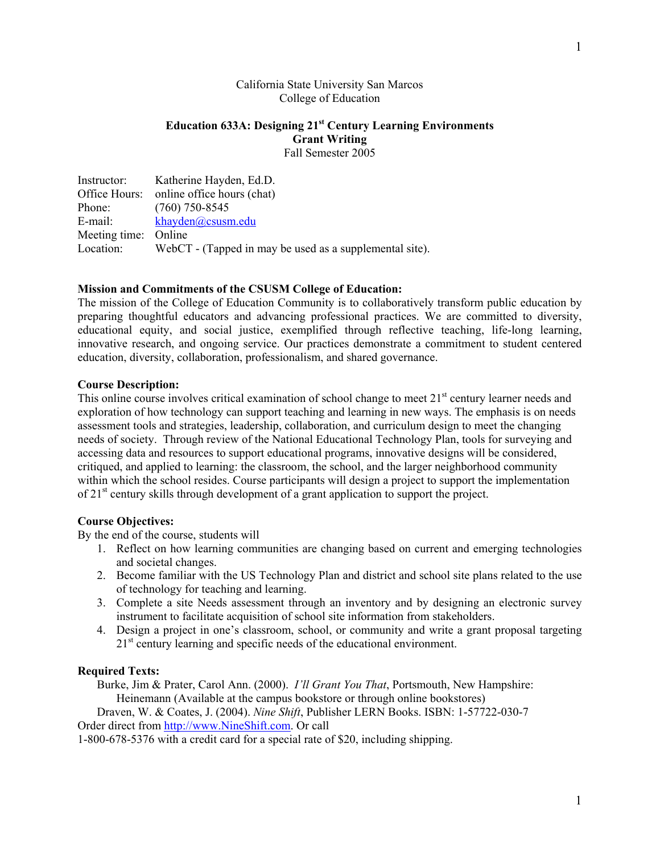## California State University San Marcos College of Education

# **Education 633A: Designing 21st Century Learning Environments Grant Writing**  Fall Semester 2005

| Instructor:          | Katherine Hayden, Ed.D.                                 |
|----------------------|---------------------------------------------------------|
|                      | Office Hours: online office hours (chat)                |
| Phone:               | $(760)$ 750-8545                                        |
| E-mail:              | khayden@csusm.edu                                       |
| Meeting time: Online |                                                         |
| Location:            | WebCT - (Tapped in may be used as a supplemental site). |

#### **Mission and Commitments of the CSUSM College of Education:**

The mission of the College of Education Community is to collaboratively transform public education by preparing thoughtful educators and advancing professional practices. We are committed to diversity, educational equity, and social justice, exemplified through reflective teaching, life-long learning, innovative research, and ongoing service. Our practices demonstrate a commitment to student centered education, diversity, collaboration, professionalism, and shared governance.

# **Course Description:**

This online course involves critical examination of school change to meet 21<sup>st</sup> century learner needs and exploration of how technology can support teaching and learning in new ways. The emphasis is on needs assessment tools and strategies, leadership, collaboration, and curriculum design to meet the changing needs of society. Through review of the National Educational Technology Plan, tools for surveying and accessing data and resources to support educational programs, innovative designs will be considered, critiqued, and applied to learning: the classroom, the school, and the larger neighborhood community within which the school resides. Course participants will design a project to support the implementation of 21<sup>st</sup> century skills through development of a grant application to support the project.

## **Course Objectives:**

By the end of the course, students will

- 1. Reflect on how learning communities are changing based on current and emerging technologies and societal changes.
- 2. Become familiar with the US Technology Plan and district and school site plans related to the use of technology for teaching and learning.
- 3. Complete a site Needs assessment through an inventory and by designing an electronic survey instrument to facilitate acquisition of school site information from stakeholders.
- 4. Design a project in one's classroom, school, or community and write a grant proposal targeting 21<sup>st</sup> century learning and specific needs of the educational environment.

## **Required Texts:**

Burke, Jim & Prater, Carol Ann. (2000). *I'll Grant You That*, Portsmouth, New Hampshire: Heinemann (Available at the campus bookstore or through online bookstores)

Draven, W. & Coates, J. (2004). *Nine Shift*, Publisher LERN Books. ISBN: 1-57722-030-7 Order direct from http://www.NineShift.com. Or call

1-800-678-5376 with a credit card for a special rate of \$20, including shipping.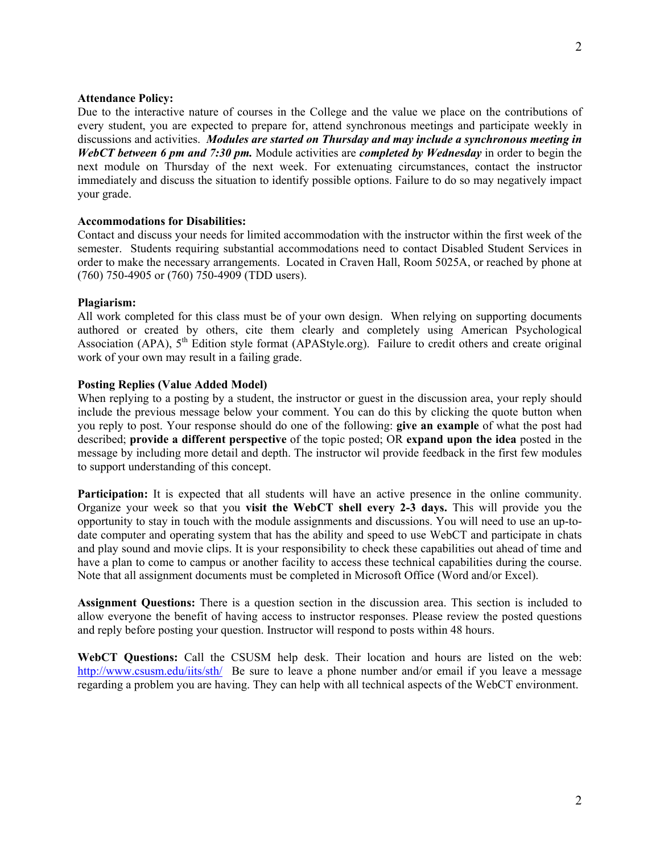### **Attendance Policy:**

Due to the interactive nature of courses in the College and the value we place on the contributions of every student, you are expected to prepare for, attend synchronous meetings and participate weekly in discussions and activities. *Modules are started on Thursday and may include a synchronous meeting in WebCT between 6 pm and 7:30 pm.* Module activities are *completed by Wednesday* in order to begin the next module on Thursday of the next week. For extenuating circumstances, contact the instructor immediately and discuss the situation to identify possible options. Failure to do so may negatively impact your grade.

## **Accommodations for Disabilities:**

Contact and discuss your needs for limited accommodation with the instructor within the first week of the semester. Students requiring substantial accommodations need to contact Disabled Student Services in order to make the necessary arrangements. Located in Craven Hall, Room 5025A, or reached by phone at (760) 750-4905 or (760) 750-4909 (TDD users).

### **Plagiarism:**

All work completed for this class must be of your own design. When relying on supporting documents authored or created by others, cite them clearly and completely using American Psychological Association (APA), 5<sup>th</sup> Edition style format (APAStyle.org). Failure to credit others and create original work of your own may result in a failing grade.

## **Posting Replies (Value Added Model)**

When replying to a posting by a student, the instructor or guest in the discussion area, your reply should include the previous message below your comment. You can do this by clicking the quote button when you reply to post. Your response should do one of the following: **give an example** of what the post had described; **provide a different perspective** of the topic posted; OR **expand upon the idea** posted in the message by including more detail and depth. The instructor wil provide feedback in the first few modules to support understanding of this concept.

**Participation:** It is expected that all students will have an active presence in the online community. Organize your week so that you **visit the WebCT shell every 2-3 days.** This will provide you the opportunity to stay in touch with the module assignments and discussions. You will need to use an up-todate computer and operating system that has the ability and speed to use WebCT and participate in chats and play sound and movie clips. It is your responsibility to check these capabilities out ahead of time and have a plan to come to campus or another facility to access these technical capabilities during the course. Note that all assignment documents must be completed in Microsoft Office (Word and/or Excel).

**Assignment Questions:** There is a question section in the discussion area. This section is included to allow everyone the benefit of having access to instructor responses. Please review the posted questions and reply before posting your question. Instructor will respond to posts within 48 hours.

**WebCT Questions:** Call the CSUSM help desk. Their location and hours are listed on the web: http://www.csusm.edu/iits/sth/ Be sure to leave a phone number and/or email if you leave a message regarding a problem you are having. They can help with all technical aspects of the WebCT environment.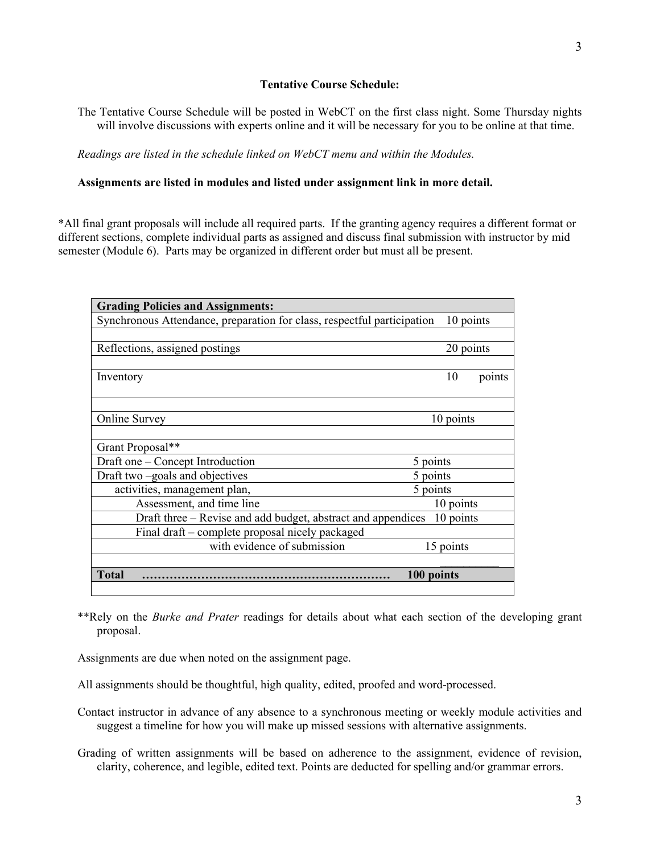## **Tentative Course Schedule:**

The Tentative Course Schedule will be posted in WebCT on the first class night. Some Thursday nights will involve discussions with experts online and it will be necessary for you to be online at that time.

*Readings are listed in the schedule linked on WebCT menu and within the Modules.* 

### **Assignments are listed in modules and listed under assignment link in more detail.**

\*All final grant proposals will include all required parts. If the granting agency requires a different format or different sections, complete individual parts as assigned and discuss final submission with instructor by mid semester (Module 6). Parts may be organized in different order but must all be present.

| <b>Grading Policies and Assignments:</b>                                  |            |           |           |  |
|---------------------------------------------------------------------------|------------|-----------|-----------|--|
| Synchronous Attendance, preparation for class, respectful participation   |            |           | 10 points |  |
|                                                                           |            |           |           |  |
| Reflections, assigned postings                                            |            | 20 points |           |  |
|                                                                           |            |           |           |  |
| Inventory                                                                 |            | 10        | points    |  |
|                                                                           |            |           |           |  |
|                                                                           |            |           |           |  |
| <b>Online Survey</b>                                                      |            | 10 points |           |  |
|                                                                           |            |           |           |  |
| Grant Proposal**                                                          |            |           |           |  |
| Draft one – Concept Introduction                                          |            | 5 points  |           |  |
| Draft two –goals and objectives                                           |            | 5 points  |           |  |
| activities, management plan,                                              |            | 5 points  |           |  |
| Assessment, and time line                                                 |            | 10 points |           |  |
| Draft three – Revise and add budget, abstract and appendices<br>10 points |            |           |           |  |
| Final draft – complete proposal nicely packaged                           |            |           |           |  |
| with evidence of submission                                               |            | 15 points |           |  |
|                                                                           |            |           |           |  |
| <b>Total</b>                                                              | 100 points |           |           |  |
|                                                                           |            |           |           |  |

\*\*Rely on the *Burke and Prater* readings for details about what each section of the developing grant proposal.

Assignments are due when noted on the assignment page.

All assignments should be thoughtful, high quality, edited, proofed and word-processed.

Contact instructor in advance of any absence to a synchronous meeting or weekly module activities and suggest a timeline for how you will make up missed sessions with alternative assignments.

Grading of written assignments will be based on adherence to the assignment, evidence of revision, clarity, coherence, and legible, edited text. Points are deducted for spelling and/or grammar errors.